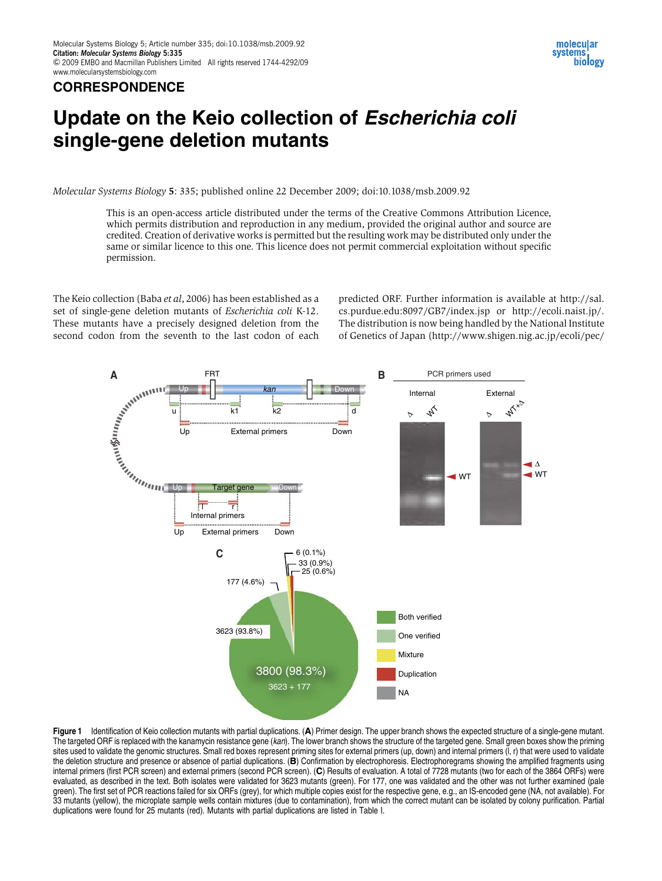

#### **CORRESPONDENCE**

# Update on the Keio collection of Escherichia coli single-gene deletion mutants

Molecular Systems Biology 5: 335; published online 22 December 2009; doi:10.1038/msb.2009.92

This is an open-access article distributed under the terms of the Creative Commons Attribution Licence, which permits distribution and reproduction in any medium, provided the original author and source are credited. Creation of derivative works is permitted but the resulting work may be distributed only under the same or similar licence to this one. This licence does not permit commercial exploitation without specific permission.

The Keio collection (Baba et al, 2006) has been established as a set of single-gene deletion mutants of Escherichia coli K-12. These mutants have a precisely designed deletion from the second codon from the seventh to the last codon of each

predicted ORF. Further information is available at http://sal. cs.purdue.edu:8097/GB7/index.jsp or http://ecoli.naist.jp/. The distribution is now being handled by the National Institute of Genetics of Japan (http://www.shigen.nig.ac.jp/ecoli/pec/



Figure 1 Identification of Keio collection mutants with partial duplications. (A) Primer design. The upper branch shows the expected structure of a single-gene mutant. The targeted ORF is replaced with the kanamycin resistance gene (kan). The lower branch shows the structure of the targeted gene. Small green boxes show the priming sites used to validate the genomic structures. Small red boxes represent priming sites for external primers (up, down) and internal primers (l, r) that were used to validate the deletion structure and presence or absence of partial duplications. (B) Confirmation by electrophoresis. Electrophoregrams showing the amplified fragments using internal primers (first PCR screen) and external primers (second PCR screen). (C) Results of evaluation. A total of 7728 mutants (two for each of the 3864 ORFs) were evaluated, as described in the text. Both isolates were validated for 3623 mutants (green). For 177, one was validated and the other was not further examined (pale green). The first set of PCR reactions failed for six ORFs (grey), for which multiple copies exist for the respective gene, e.g., an IS-encoded gene (NA, not available). For 33 mutants (yellow), the microplate sample wells contain mixtures (due to contamination), from which the correct mutant can be isolated by colony purification. Partial duplications were found for 25 mutants (red). Mutants with partial duplications are listed in Table I.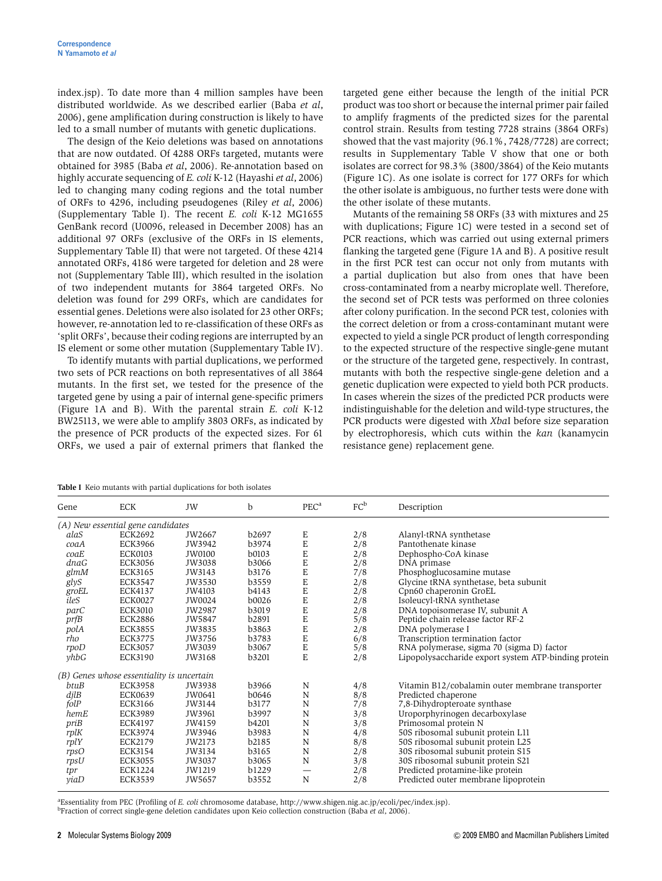index.jsp). To date more than 4 million samples have been distributed worldwide. As we described earlier (Baba et al, 2006), gene amplification during construction is likely to have led to a small number of mutants with genetic duplications.

The design of the Keio deletions was based on annotations that are now outdated. Of 4288 ORFs targeted, mutants were obtained for 3985 (Baba et al, 2006). Re-annotation based on highly accurate sequencing of E. coli K-12 (Hayashi et al, 2006) led to changing many coding regions and the total number of ORFs to 4296, including pseudogenes (Riley et al, 2006) (Supplementary Table I). The recent E. coli K-12 MG1655 GenBank record (U0096, released in December 2008) has an additional 97 ORFs (exclusive of the ORFs in IS elements, Supplementary Table II) that were not targeted. Of these 4214 annotated ORFs, 4186 were targeted for deletion and 28 were not (Supplementary Table III), which resulted in the isolation of two independent mutants for 3864 targeted ORFs. No deletion was found for 299 ORFs, which are candidates for essential genes. Deletions were also isolated for 23 other ORFs; however, re-annotation led to re-classification of these ORFs as 'split ORFs', because their coding regions are interrupted by an IS element or some other mutation (Supplementary Table IV).

To identify mutants with partial duplications, we performed two sets of PCR reactions on both representatives of all 3864 mutants. In the first set, we tested for the presence of the targeted gene by using a pair of internal gene-specific primers (Figure 1A and B). With the parental strain E. coli K-12 BW25113, we were able to amplify 3803 ORFs, as indicated by the presence of PCR products of the expected sizes. For 61 ORFs, we used a pair of external primers that flanked the

targeted gene either because the length of the initial PCR product was too short or because the internal primer pair failed to amplify fragments of the predicted sizes for the parental control strain. Results from testing 7728 strains (3864 ORFs) showed that the vast majority (96.1%, 7428/7728) are correct; results in Supplementary Table V show that one or both isolates are correct for 98.3% (3800/3864) of the Keio mutants (Figure 1C). As one isolate is correct for 177 ORFs for which the other isolate is ambiguous, no further tests were done with the other isolate of these mutants.

Mutants of the remaining 58 ORFs (33 with mixtures and 25 with duplications; Figure 1C) were tested in a second set of PCR reactions, which was carried out using external primers flanking the targeted gene (Figure 1A and B). A positive result in the first PCR test can occur not only from mutants with a partial duplication but also from ones that have been cross-contaminated from a nearby microplate well. Therefore, the second set of PCR tests was performed on three colonies after colony purification. In the second PCR test, colonies with the correct deletion or from a cross-contaminant mutant were expected to yield a single PCR product of length corresponding to the expected structure of the respective single-gene mutant or the structure of the targeted gene, respectively. In contrast, mutants with both the respective single-gene deletion and a genetic duplication were expected to yield both PCR products. In cases wherein the sizes of the predicted PCR products were indistinguishable for the deletion and wild-type structures, the PCR products were digested with XbaI before size separation by electrophoresis, which cuts within the kan (kanamycin resistance gene) replacement gene.

| Gene           | <b>ECK</b>                                | JW     | b            | PEC <sup>a</sup> | $FC^b$ | Description                                          |
|----------------|-------------------------------------------|--------|--------------|------------------|--------|------------------------------------------------------|
|                | (A) New essential gene candidates         |        |              |                  |        |                                                      |
| alaS           | <b>ECK2692</b>                            | JW2667 | b2697        | $E$<br>$E$       | 2/8    | Alanyl-tRNA synthetase                               |
| coaA           | <b>ECK3966</b>                            | JW3942 | b3974        |                  | 2/8    | Pantothenate kinase                                  |
| coaE           | <b>ECK0103</b>                            | JW0100 | b0103        | E                | 2/8    | Dephospho-CoA kinase                                 |
| dnaG           | <b>ECK3056</b>                            | JW3038 | <b>b3066</b> | E                | 2/8    | DNA primase                                          |
| glmM           | ECK3165                                   | JW3143 | b3176        | E                | 7/8    | Phosphoglucosamine mutase                            |
| glyS           | <b>ECK3547</b>                            | JW3530 | b3559        | E                | 2/8    | Glycine tRNA synthetase, beta subunit                |
| groEL          | <b>ECK4137</b>                            | JW4103 | b4143        | E                | 2/8    | Cpn60 chaperonin GroEL                               |
| ileS           | <b>ECK0027</b>                            | JW0024 | b0026        | E                | 2/8    | Isoleucyl-tRNA synthetase                            |
| parC           | <b>ECK3010</b>                            | JW2987 | b3019        | E                | 2/8    | DNA topoisomerase IV, subunit A                      |
| prfB           | <b>ECK2886</b>                            | JW5847 | b2891        | E                | 5/8    | Peptide chain release factor RF-2                    |
| polA           | <b>ECK3855</b>                            | JW3835 | b3863        | E                | 2/8    | DNA polymerase I                                     |
| rho            | <b>ECK3775</b>                            | JW3756 | b3783        | $\mathbf E$      | 6/8    | Transcription termination factor                     |
| rpoD           | <b>ECK3057</b>                            | JW3039 | b3067        | $\mathbf E$      | 5/8    | RNA polymerase, sigma 70 (sigma D) factor            |
| yhbG           | <b>ECK3190</b>                            | JW3168 | b3201        | E                | 2/8    | Lipopolysaccharide export system ATP-binding protein |
|                | (B) Genes whose essentiality is uncertain |        |              |                  |        |                                                      |
| btuB           | <b>ECK3958</b>                            | JW3938 | b3966        | N                | 4/8    | Vitamin B12/cobalamin outer membrane transporter     |
| $d$ <i>ilB</i> | ECK0639                                   | JW0641 | b0646        | N                | 8/8    | Predicted chaperone                                  |
| folP           | ECK3166                                   | JW3144 | b3177        | N                | 7/8    | 7,8-Dihydropteroate synthase                         |
| hemE           | <b>ECK3989</b>                            | JW3961 | b3997        | N                | 3/8    | Uroporphyrinogen decarboxylase                       |
| priB           | ECK4197                                   | JW4159 | b4201        | N                | 3/8    | Primosomal protein N                                 |
| rplK           | <b>ECK3974</b>                            | JW3946 | b3983        | N                | 4/8    | 50S ribosomal subunit protein L11                    |
| rplY           | <b>ECK2179</b>                            | JW2173 | b2185        | N                | 8/8    | 50S ribosomal subunit protein L25                    |
| rpsO           | ECK3154                                   | JW3134 | b3165        | N                | 2/8    | 30S ribosomal subunit protein S15                    |
| rpsU           | <b>ECK3055</b>                            | JW3037 | b3065        | N                | 3/8    | 30S ribosomal subunit protein S21                    |
| tpr            | <b>ECK1224</b>                            | JW1219 | b1229        | —                | 2/8    | Predicted protamine-like protein                     |
| viaD           | <b>ECK3539</b>                            | JW5657 | b3552        | N                | 2/8    | Predicted outer membrane lipoprotein                 |

Table I Keio mutants with partial duplications for both isolates

<sup>a</sup>Essentiality from PEC (Profiling of *E. coli* chromosome database, http://www.shigen.nig.ac.jp/ecoli/pec/index.jsp).<br><sup>b</sup>Eraction of correct single-gene deletion candidates upon Kejo collection construction (Baba et al.

<sup>b</sup>Fraction of correct single-gene deletion candidates upon Keio collection construction (Baba et al, 2006).